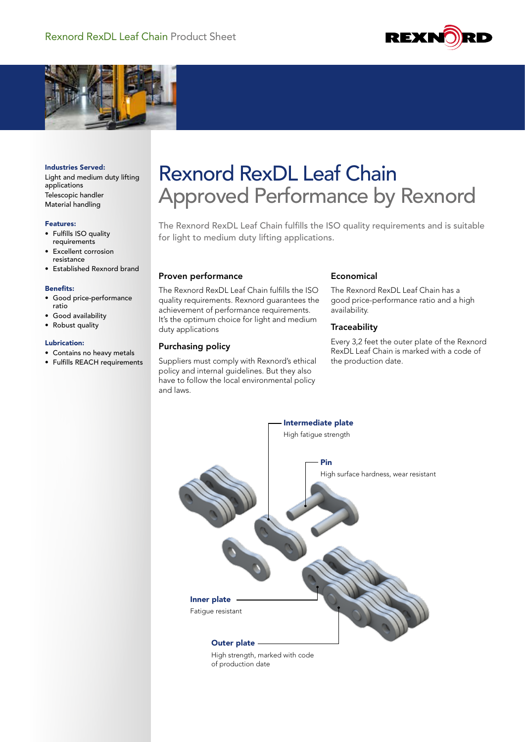



### Industries Served:

Light and medium duty lifting applications Telescopic handler Material handling

#### Features:

- Fulfills ISO quality requirements
- Excellent corrosion resistance
- Established Rexnord brand

### Benefits:

- Good price-performance ratio
- Good availability
- Robust quality

### Lubrication:

- Contains no heavy metals
- Fulfills REACH requirements

# Rexnord RexDL Leaf Chain Approved Performance by Rexnord

The Rexnord RexDL Leaf Chain fulfills the ISO quality requirements and is suitable for light to medium duty lifting applications.

Proven performance

The Rexnord RexDL Leaf Chain fulfills the ISO quality requirements. Rexnord guarantees the achievement of performance requirements. It's the optimum choice for light and medium duty applications

# Purchasing policy

Suppliers must comply with Rexnord's ethical policy and internal guidelines. But they also have to follow the local environmental policy and laws.

# Economical

The Rexnord RexDL Leaf Chain has a good price-performance ratio and a high availability.

## **Traceability**

Every 3,2 feet the outer plate of the Rexnord RexDL Leaf Chain is marked with a code of the production date.